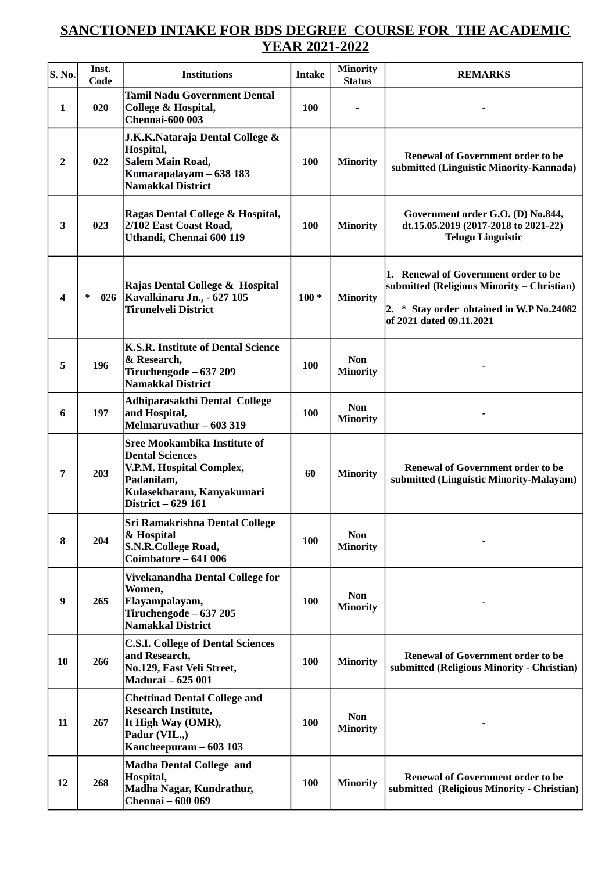## **SANCTIONED INTAKE FOR BDS DEGREE COURSE FOR THE ACADEMIC YEAR 2021-2022**

| $\vert$ S. No. | Inst.<br>Code | <b>Institutions</b>                                                                                                                                        | <b>Intake</b> | Minority<br><b>Status</b>     | <b>REMARKS</b>                                                                                                                                             |
|----------------|---------------|------------------------------------------------------------------------------------------------------------------------------------------------------------|---------------|-------------------------------|------------------------------------------------------------------------------------------------------------------------------------------------------------|
| 1              | 020           | <b>Tamil Nadu Government Dental</b><br><b>College &amp; Hospital,</b><br><b>Chennai-600 003</b>                                                            | 100           |                               |                                                                                                                                                            |
| $\overline{2}$ | 022           | J.K.K.Nataraja Dental College &<br>Hospital,<br>Salem Main Road,<br>Komarapalayam - 638 183<br><b>Namakkal District</b>                                    | <b>100</b>    | <b>Minority</b>               | <b>Renewal of Government order to be</b><br>submitted (Linguistic Minority-Kannada)                                                                        |
| 3              | 023           | Ragas Dental College & Hospital,<br>2/102 East Coast Road,<br>Uthandi, Chennai 600 119                                                                     | <b>100</b>    | <b>Minority</b>               | Government order G.O. (D) No.844,<br>dt.15.05.2019 (2017-2018 to 2021-22)<br><b>Telugu Linguistic</b>                                                      |
| 4              | 026<br>∗      | Rajas Dental College & Hospital<br>Kavalkinaru Jn., - 627 105<br><b>Tirunelveli District</b>                                                               | $100*$        | <b>Minority</b>               | 1. Renewal of Government order to be<br>submitted (Religious Minority - Christian)<br>2. * Stay order obtained in W.P No.24082<br>of 2021 dated 09.11.2021 |
| 5              | 196           | <b>K.S.R. Institute of Dental Science</b><br>& Research,<br>Tiruchengode - 637 209<br><b>Namakkal District</b>                                             | <b>100</b>    | <b>Non</b><br><b>Minority</b> |                                                                                                                                                            |
| 6              | 197           | Adhiparasakthi Dental College<br>and Hospital,<br>Melmaruvathur - 603 319                                                                                  | <b>100</b>    | <b>Non</b><br><b>Minority</b> |                                                                                                                                                            |
| 7              | 203           | <b>Sree Mookambika Institute of</b><br><b>Dental Sciences</b><br>V.P.M. Hospital Complex,<br>Padanilam,<br>Kulasekharam, Kanyakumari<br>District - 629 161 | 60            | <b>Minority</b>               | <b>Renewal of Government order to be</b><br>submitted (Linguistic Minority-Malayam)                                                                        |
| 8              | 204           | <b>Sri Ramakrishna Dental College</b><br>& Hospital<br><b>S.N.R.College Road,</b><br>Coimbatore - 641 006                                                  | <b>100</b>    | <b>Non</b><br><b>Minority</b> |                                                                                                                                                            |
| 9              | 265           | Vivekanandha Dental College for<br>Women,<br>Elayampalayam,<br>Tiruchengode - 637 205<br><b>Namakkal District</b>                                          | <b>100</b>    | <b>Non</b><br><b>Minority</b> |                                                                                                                                                            |
| 10             | 266           | <b>C.S.I. College of Dental Sciences</b><br>and Research,<br>No.129, East Veli Street,<br><b>Madurai - 625 001</b>                                         | <b>100</b>    | <b>Minority</b>               | <b>Renewal of Government order to be</b><br>submitted (Religious Minority - Christian)                                                                     |
| 11             | 267           | <b>Chettinad Dental College and</b><br><b>Research Institute,</b><br>It High Way (OMR),<br>Padur (VIL.,)<br>Kancheepuram - 603 103                         | <b>100</b>    | <b>Non</b><br><b>Minority</b> |                                                                                                                                                            |
| 12             | 268           | <b>Madha Dental College and</b><br>Hospital,<br>Madha Nagar, Kundrathur,<br><b>Chennai</b> - 600 069                                                       | <b>100</b>    | <b>Minority</b>               | <b>Renewal of Government order to be</b><br>submitted (Religious Minority - Christian)                                                                     |